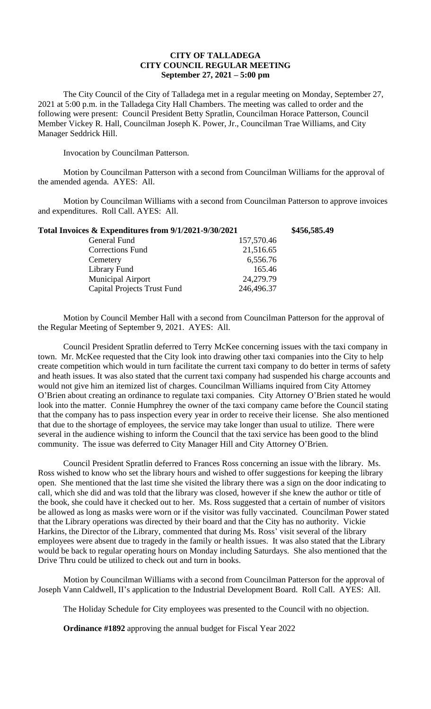## **CITY OF TALLADEGA CITY COUNCIL REGULAR MEETING September 27, 2021 – 5:00 pm**

The City Council of the City of Talladega met in a regular meeting on Monday, September 27, 2021 at 5:00 p.m. in the Talladega City Hall Chambers. The meeting was called to order and the following were present: Council President Betty Spratlin, Councilman Horace Patterson, Council Member Vickey R. Hall, Councilman Joseph K. Power, Jr., Councilman Trae Williams, and City Manager Seddrick Hill.

Invocation by Councilman Patterson.

Motion by Councilman Patterson with a second from Councilman Williams for the approval of the amended agenda. AYES: All.

Motion by Councilman Williams with a second from Councilman Patterson to approve invoices and expenditures. Roll Call. AYES: All.

| Total Invoices & Expenditures from 9/1/2021-9/30/2021 |            | \$456,585.49 |
|-------------------------------------------------------|------------|--------------|
| General Fund                                          | 157,570.46 |              |
| Corrections Fund                                      | 21,516.65  |              |
| Cemetery                                              | 6,556.76   |              |
| Library Fund                                          | 165.46     |              |
| Municipal Airport                                     | 24,279.79  |              |
| <b>Capital Projects Trust Fund</b>                    | 246,496.37 |              |

Motion by Council Member Hall with a second from Councilman Patterson for the approval of the Regular Meeting of September 9, 2021. AYES: All.

Council President Spratlin deferred to Terry McKee concerning issues with the taxi company in town. Mr. McKee requested that the City look into drawing other taxi companies into the City to help create competition which would in turn facilitate the current taxi company to do better in terms of safety and heath issues. It was also stated that the current taxi company had suspended his charge accounts and would not give him an itemized list of charges. Councilman Williams inquired from City Attorney O'Brien about creating an ordinance to regulate taxi companies. City Attorney O'Brien stated he would look into the matter. Connie Humphrey the owner of the taxi company came before the Council stating that the company has to pass inspection every year in order to receive their license. She also mentioned that due to the shortage of employees, the service may take longer than usual to utilize. There were several in the audience wishing to inform the Council that the taxi service has been good to the blind community. The issue was deferred to City Manager Hill and City Attorney O'Brien.

Council President Spratlin deferred to Frances Ross concerning an issue with the library. Ms. Ross wished to know who set the library hours and wished to offer suggestions for keeping the library open. She mentioned that the last time she visited the library there was a sign on the door indicating to call, which she did and was told that the library was closed, however if she knew the author or title of the book, she could have it checked out to her. Ms. Ross suggested that a certain of number of visitors be allowed as long as masks were worn or if the visitor was fully vaccinated. Councilman Power stated that the Library operations was directed by their board and that the City has no authority. Vickie Harkins, the Director of the Library, commented that during Ms. Ross' visit several of the library employees were absent due to tragedy in the family or health issues. It was also stated that the Library would be back to regular operating hours on Monday including Saturdays. She also mentioned that the Drive Thru could be utilized to check out and turn in books.

Motion by Councilman Williams with a second from Councilman Patterson for the approval of Joseph Vann Caldwell, II's application to the Industrial Development Board. Roll Call. AYES: All.

The Holiday Schedule for City employees was presented to the Council with no objection.

**Ordinance #1892** approving the annual budget for Fiscal Year 2022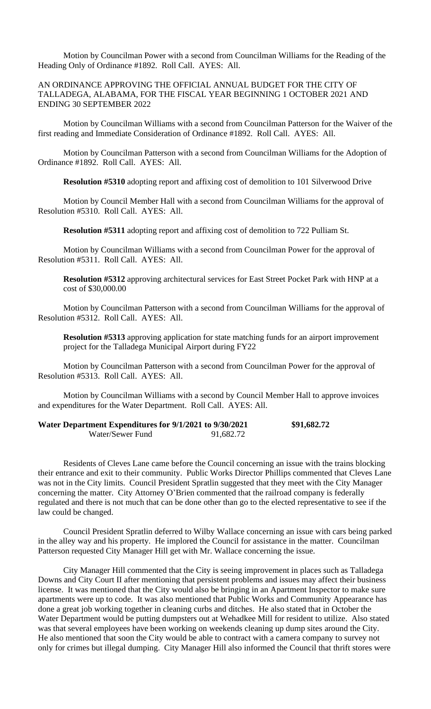Motion by Councilman Power with a second from Councilman Williams for the Reading of the Heading Only of Ordinance #1892. Roll Call. AYES: All.

## AN ORDINANCE APPROVING THE OFFICIAL ANNUAL BUDGET FOR THE CITY OF TALLADEGA, ALABAMA, FOR THE FISCAL YEAR BEGINNING 1 OCTOBER 2021 AND ENDING 30 SEPTEMBER 2022

Motion by Councilman Williams with a second from Councilman Patterson for the Waiver of the first reading and Immediate Consideration of Ordinance #1892. Roll Call. AYES: All.

Motion by Councilman Patterson with a second from Councilman Williams for the Adoption of Ordinance #1892. Roll Call. AYES: All.

**Resolution #5310** adopting report and affixing cost of demolition to 101 Silverwood Drive

Motion by Council Member Hall with a second from Councilman Williams for the approval of Resolution #5310. Roll Call. AYES: All.

**Resolution #5311** adopting report and affixing cost of demolition to 722 Pulliam St.

Motion by Councilman Williams with a second from Councilman Power for the approval of Resolution #5311. Roll Call. AYES: All.

**Resolution #5312** approving architectural services for East Street Pocket Park with HNP at a cost of \$30,000.00

Motion by Councilman Patterson with a second from Councilman Williams for the approval of Resolution #5312. Roll Call. AYES: All.

**Resolution #5313** approving application for state matching funds for an airport improvement project for the Talladega Municipal Airport during FY22

Motion by Councilman Patterson with a second from Councilman Power for the approval of Resolution #5313. Roll Call. AYES: All.

Motion by Councilman Williams with a second by Council Member Hall to approve invoices and expenditures for the Water Department. Roll Call. AYES: All.

| Water Department Expenditures for 9/1/2021 to 9/30/2021 |           | \$91,682.72 |
|---------------------------------------------------------|-----------|-------------|
| Water/Sewer Fund                                        | 91,682.72 |             |

Residents of Cleves Lane came before the Council concerning an issue with the trains blocking their entrance and exit to their community. Public Works Director Phillips commented that Cleves Lane was not in the City limits. Council President Spratlin suggested that they meet with the City Manager concerning the matter. City Attorney O'Brien commented that the railroad company is federally regulated and there is not much that can be done other than go to the elected representative to see if the law could be changed.

Council President Spratlin deferred to Wilby Wallace concerning an issue with cars being parked in the alley way and his property. He implored the Council for assistance in the matter. Councilman Patterson requested City Manager Hill get with Mr. Wallace concerning the issue.

City Manager Hill commented that the City is seeing improvement in places such as Talladega Downs and City Court II after mentioning that persistent problems and issues may affect their business license. It was mentioned that the City would also be bringing in an Apartment Inspector to make sure apartments were up to code. It was also mentioned that Public Works and Community Appearance has done a great job working together in cleaning curbs and ditches. He also stated that in October the Water Department would be putting dumpsters out at Wehadkee Mill for resident to utilize. Also stated was that several employees have been working on weekends cleaning up dump sites around the City. He also mentioned that soon the City would be able to contract with a camera company to survey not only for crimes but illegal dumping. City Manager Hill also informed the Council that thrift stores were